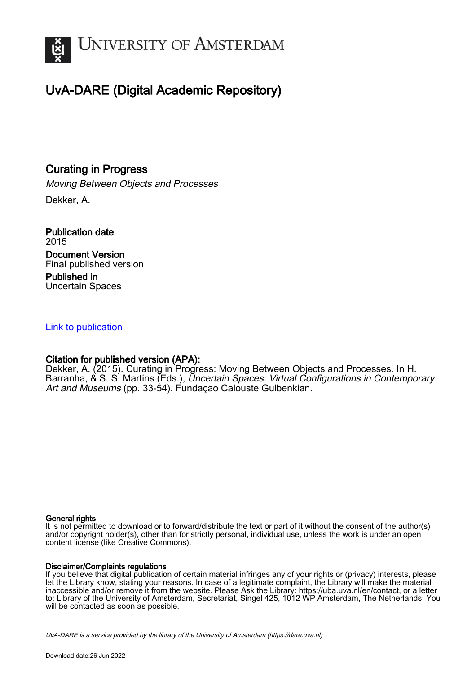

# UvA-DARE (Digital Academic Repository)

# Curating in Progress

Moving Between Objects and Processes

Dekker, A.

Publication date 2015 Document Version Final published version Published in Uncertain Spaces

### [Link to publication](https://dare.uva.nl/personal/pure/en/publications/curating-in-progress(5337a16c-c248-444e-a378-3bdd76d8690b).html)

# Citation for published version (APA):

Dekker, A. (2015). Curating in Progress: Moving Between Objects and Processes. In H. Barranha, & S. S. Martins (Eds.), Uncertain Spaces: Virtual Configurations in Contemporary Art and Museums (pp. 33-54). Fundaçao Calouste Gulbenkian.

#### General rights

It is not permitted to download or to forward/distribute the text or part of it without the consent of the author(s) and/or copyright holder(s), other than for strictly personal, individual use, unless the work is under an open content license (like Creative Commons).

#### Disclaimer/Complaints regulations

If you believe that digital publication of certain material infringes any of your rights or (privacy) interests, please let the Library know, stating your reasons. In case of a legitimate complaint, the Library will make the material inaccessible and/or remove it from the website. Please Ask the Library: https://uba.uva.nl/en/contact, or a letter to: Library of the University of Amsterdam, Secretariat, Singel 425, 1012 WP Amsterdam, The Netherlands. You will be contacted as soon as possible.

UvA-DARE is a service provided by the library of the University of Amsterdam (http*s*://dare.uva.nl)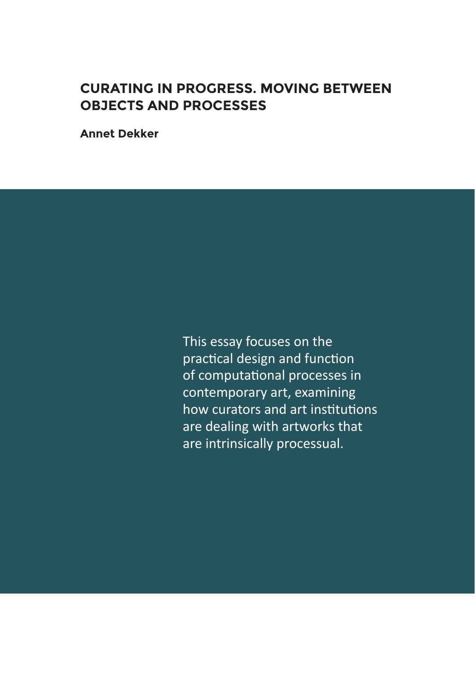# **CURATING IN PROGRESS. MOVING BETWEEN OBJECTS AND PROCESSES**

**Annet Dekker**

This essay focuses on the practical design and function of computational processes in contemporary art, examining how curators and art institutions are dealing with artworks that are intrinsically processual.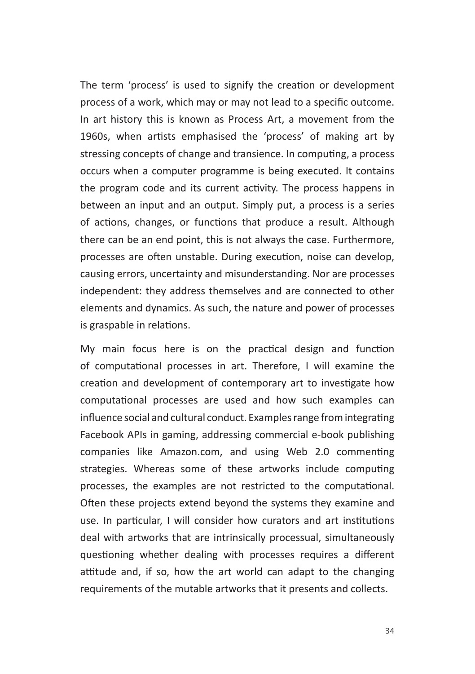The term 'process' is used to signify the creation or development process of a work, which may or may not lead to a specific outcome. In art history this is known as Process Art, a movement from the 1960s, when artists emphasised the 'process' of making art by stressing concepts of change and transience. In computing, a process occurs when a computer programme is being executed. It contains the program code and its current activity. The process happens in between an input and an output. Simply put, a process is a series of actions, changes, or functions that produce a result. Although there can be an end point, this is not always the case. Furthermore, processes are often unstable. During execution, noise can develop, causing errors, uncertainty and misunderstanding. Nor are processes independent: they address themselves and are connected to other elements and dynamics. As such, the nature and power of processes is graspable in relations.

My main focus here is on the practical design and function of computational processes in art. Therefore, I will examine the creation and development of contemporary art to investigate how computational processes are used and how such examples can influence social and cultural conduct. Examples range from integrating Facebook APIs in gaming, addressing commercial e-book publishing companies like Amazon.com, and using Web 2.0 commenting strategies. Whereas some of these artworks include computing processes, the examples are not restricted to the computational. Often these projects extend beyond the systems they examine and use. In particular, I will consider how curators and art institutions deal with artworks that are intrinsically processual, simultaneously questioning whether dealing with processes requires a different attitude and, if so, how the art world can adapt to the changing requirements of the mutable artworks that it presents and collects.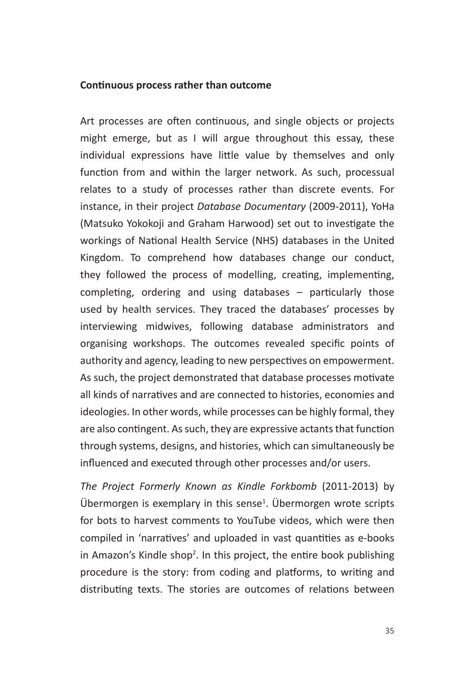#### **Continuous process rather than outcome**

Art processes are often continuous, and single objects or projects might emerge, but as I will argue throughout this essay, these individual expressions have little value by themselves and only function from and within the larger network. As such, processual relates to a study of processes rather than discrete events. For instance, in their project *Database Documentary* (2009-2011), YoHa (Matsuko Yokokoji and Graham Harwood) set out to investigate the workings of National Health Service (NHS) databases in the United Kingdom. To comprehend how databases change our conduct, they followed the process of modelling, creating, implementing, completing, ordering and using databases – particularly those used by health services. They traced the databases' processes by interviewing midwives, following database administrators and organising workshops. The outcomes revealed specific points of authority and agency, leading to new perspectives on empowerment. As such, the project demonstrated that database processes motivate all kinds of narratives and are connected to histories, economies and ideologies. In other words, while processes can be highly formal, they are also contingent. As such, they are expressive actants that function through systems, designs, and histories, which can simultaneously be influenced and executed through other processes and/or users.

*The Project Formerly Known as Kindle Forkbomb* (2011-2013) by Übermorgen is exemplary in this sense<sup>1</sup>. Übermorgen wrote scripts for bots to harvest comments to YouTube videos, which were then compiled in 'narratives' and uploaded in vast quantities as e-books in Amazon's Kindle shop<sup>2</sup>. In this project, the entire book publishing procedure is the story: from coding and platforms, to writing and distributing texts. The stories are outcomes of relations between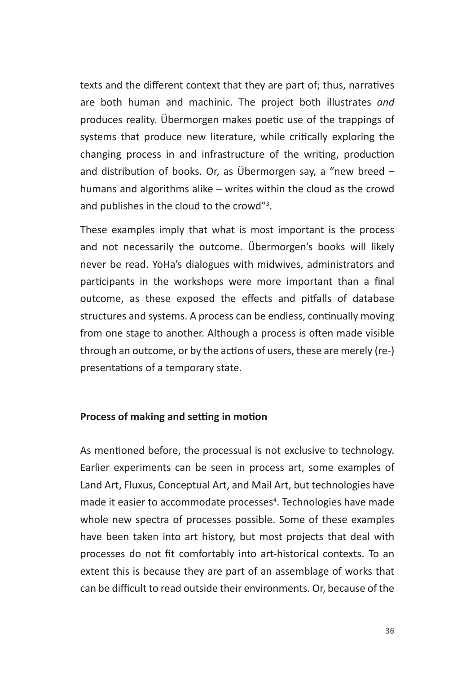texts and the different context that they are part of; thus, narratives are both human and machinic. The project both illustrates *and* produces reality. Übermorgen makes poetic use of the trappings of systems that produce new literature, while critically exploring the changing process in and infrastructure of the writing, production and distribution of books. Or, as Übermorgen say, a "new breed – humans and algorithms alike – writes within the cloud as the crowd and publishes in the cloud to the crowd"3 .

These examples imply that what is most important is the process and not necessarily the outcome. Übermorgen's books will likely never be read. YoHa's dialogues with midwives, administrators and participants in the workshops were more important than a final outcome, as these exposed the effects and pitfalls of database structures and systems. A process can be endless, continually moving from one stage to another. Although a process is often made visible through an outcome, or by the actions of users, these are merely (re-) presentations of a temporary state.

#### **Process of making and setting in motion**

As mentioned before, the processual is not exclusive to technology. Earlier experiments can be seen in process art, some examples of Land Art, Fluxus, Conceptual Art, and Mail Art, but technologies have made it easier to accommodate processes<sup>4</sup>. Technologies have made whole new spectra of processes possible. Some of these examples have been taken into art history, but most projects that deal with processes do not fit comfortably into art-historical contexts. To an extent this is because they are part of an assemblage of works that can be difficult to read outside their environments. Or, because of the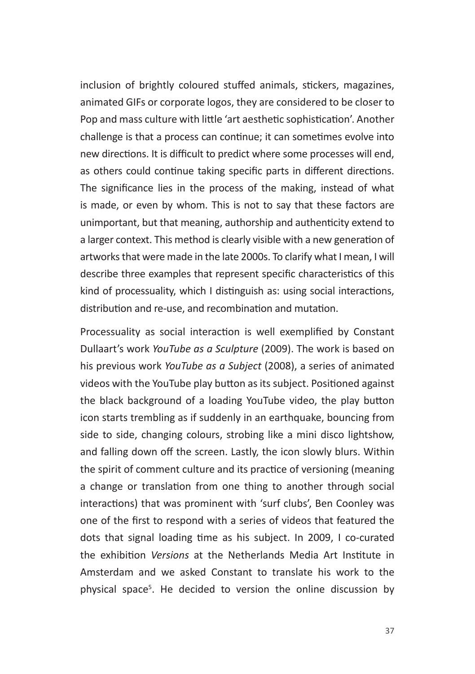inclusion of brightly coloured stuffed animals, stickers, magazines, animated GIFs or corporate logos, they are considered to be closer to Pop and mass culture with little 'art aesthetic sophistication'. Another challenge is that a process can continue; it can sometimes evolve into new directions. It is difficult to predict where some processes will end, as others could continue taking specific parts in different directions. The significance lies in the process of the making, instead of what is made, or even by whom. This is not to say that these factors are unimportant, but that meaning, authorship and authenticity extend to a larger context. This method is clearly visible with a new generation of artworks that were made in the late 2000s. To clarify what I mean, I will describe three examples that represent specific characteristics of this kind of processuality, which I distinguish as: using social interactions, distribution and re-use, and recombination and mutation.

Processuality as social interaction is well exemplified by Constant Dullaart's work *YouTube as a Sculpture* (2009). The work is based on his previous work *YouTube as a Subject* (2008), a series of animated videos with the YouTube play button as its subject. Positioned against the black background of a loading YouTube video, the play button icon starts trembling as if suddenly in an earthquake, bouncing from side to side, changing colours, strobing like a mini disco lightshow, and falling down off the screen. Lastly, the icon slowly blurs. Within the spirit of comment culture and its practice of versioning (meaning a change or translation from one thing to another through social interactions) that was prominent with 'surf clubs', Ben Coonley was one of the first to respond with a series of videos that featured the dots that signal loading time as his subject. In 2009, I co-curated the exhibition *Versions* at the Netherlands Media Art Institute in Amsterdam and we asked Constant to translate his work to the physical space<sup>5</sup>. He decided to version the online discussion by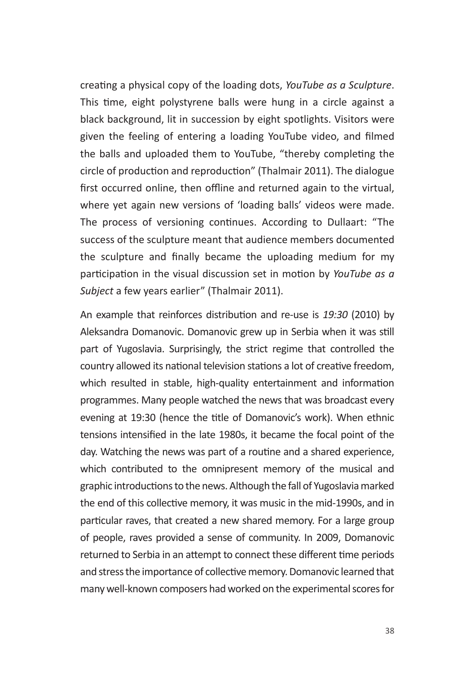creating a physical copy of the loading dots, *YouTube as a Sculpture*. This time, eight polystyrene balls were hung in a circle against a black background, lit in succession by eight spotlights. Visitors were given the feeling of entering a loading YouTube video, and filmed the balls and uploaded them to YouTube, "thereby completing the circle of production and reproduction" (Thalmair 2011). The dialogue first occurred online, then offline and returned again to the virtual, where yet again new versions of 'loading balls' videos were made. The process of versioning continues. According to Dullaart: "The success of the sculpture meant that audience members documented the sculpture and finally became the uploading medium for my participation in the visual discussion set in motion by *YouTube as a Subject* a few years earlier" (Thalmair 2011).

An example that reinforces distribution and re-use is *19:30* (2010) by Aleksandra Domanovic. Domanovic grew up in Serbia when it was still part of Yugoslavia. Surprisingly, the strict regime that controlled the country allowed its national television stations a lot of creative freedom, which resulted in stable, high-quality entertainment and information programmes. Many people watched the news that was broadcast every evening at 19:30 (hence the title of Domanovic's work). When ethnic tensions intensified in the late 1980s, it became the focal point of the day. Watching the news was part of a routine and a shared experience, which contributed to the omnipresent memory of the musical and graphic introductions to the news. Although the fall of Yugoslavia marked the end of this collective memory, it was music in the mid-1990s, and in particular raves, that created a new shared memory. For a large group of people, raves provided a sense of community. In 2009, Domanovic returned to Serbia in an attempt to connect these different time periods and stress the importance of collective memory. Domanovic learned that many well-known composers had worked on the experimental scores for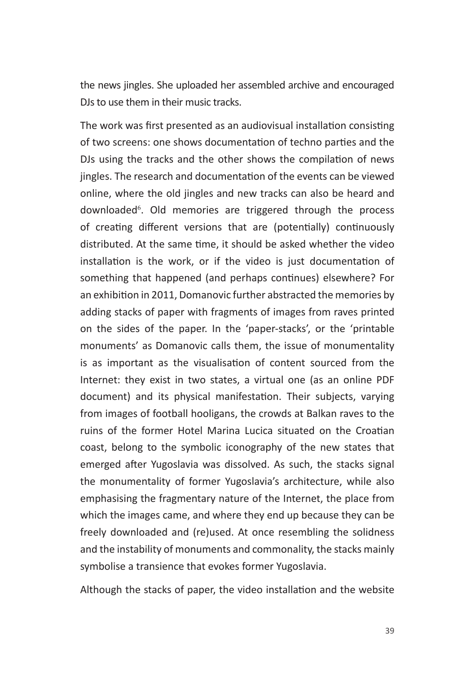the news jingles. She uploaded her assembled archive and encouraged DJs to use them in their music tracks.

The work was first presented as an audiovisual installation consisting of two screens: one shows documentation of techno parties and the DJs using the tracks and the other shows the compilation of news jingles. The research and documentation of the events can be viewed online, where the old jingles and new tracks can also be heard and downloaded<sup>6</sup>. Old memories are triggered through the process of creating different versions that are (potentially) continuously distributed. At the same time, it should be asked whether the video installation is the work, or if the video is just documentation of something that happened (and perhaps continues) elsewhere? For an exhibition in 2011, Domanovic further abstracted the memories by adding stacks of paper with fragments of images from raves printed on the sides of the paper. In the 'paper-stacks', or the 'printable monuments' as Domanovic calls them, the issue of monumentality is as important as the visualisation of content sourced from the Internet: they exist in two states, a virtual one (as an online PDF document) and its physical manifestation. Their subjects, varying from images of football hooligans, the crowds at Balkan raves to the ruins of the former Hotel Marina Lucica situated on the Croatian coast, belong to the symbolic iconography of the new states that emerged after Yugoslavia was dissolved. As such, the stacks signal the monumentality of former Yugoslavia's architecture, while also emphasising the fragmentary nature of the Internet, the place from which the images came, and where they end up because they can be freely downloaded and (re)used. At once resembling the solidness and the instability of monuments and commonality, the stacks mainly symbolise a transience that evokes former Yugoslavia.

Although the stacks of paper, the video installation and the website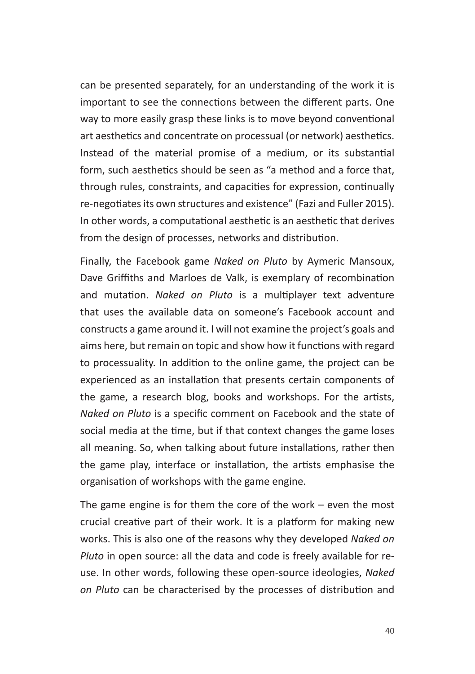can be presented separately, for an understanding of the work it is important to see the connections between the different parts. One way to more easily grasp these links is to move beyond conventional art aesthetics and concentrate on processual (or network) aesthetics. Instead of the material promise of a medium, or its substantial form, such aesthetics should be seen as "a method and a force that, through rules, constraints, and capacities for expression, continually re-negotiates its own structures and existence" (Fazi and Fuller 2015). In other words, a computational aesthetic is an aesthetic that derives from the design of processes, networks and distribution.

Finally, the Facebook game *Naked on Pluto* by Aymeric Mansoux, Dave Griffiths and Marloes de Valk, is exemplary of recombination and mutation. *Naked on Pluto* is a multiplayer text adventure that uses the available data on someone's Facebook account and constructs a game around it. I will not examine the project's goals and aims here, but remain on topic and show how it functions with regard to processuality. In addition to the online game, the project can be experienced as an installation that presents certain components of the game, a research blog, books and workshops. For the artists, *Naked on Pluto* is a specific comment on Facebook and the state of social media at the time, but if that context changes the game loses all meaning. So, when talking about future installations, rather then the game play, interface or installation, the artists emphasise the organisation of workshops with the game engine.

The game engine is for them the core of the work – even the most crucial creative part of their work. It is a platform for making new works. This is also one of the reasons why they developed *Naked on Pluto* in open source: all the data and code is freely available for reuse. In other words, following these open-source ideologies, *Naked on Pluto* can be characterised by the processes of distribution and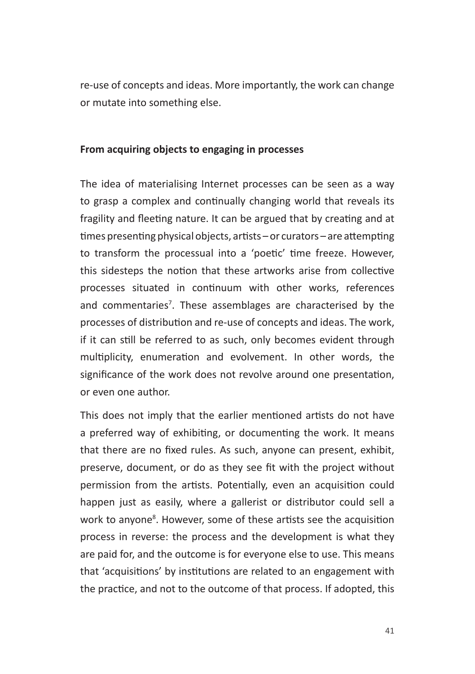re-use of concepts and ideas. More importantly, the work can change or mutate into something else.

#### **From acquiring objects to engaging in processes**

The idea of materialising Internet processes can be seen as a way to grasp a complex and continually changing world that reveals its fragility and fleeting nature. It can be argued that by creating and at times presenting physical objects, artists – or curators – are attempting to transform the processual into a 'poetic' time freeze. However, this sidesteps the notion that these artworks arise from collective processes situated in continuum with other works, references and commentaries<sup>7</sup>. These assemblages are characterised by the processes of distribution and re-use of concepts and ideas. The work, if it can still be referred to as such, only becomes evident through multiplicity, enumeration and evolvement. In other words, the significance of the work does not revolve around one presentation, or even one author.

This does not imply that the earlier mentioned artists do not have a preferred way of exhibiting, or documenting the work. It means that there are no fixed rules. As such, anyone can present, exhibit, preserve, document, or do as they see fit with the project without permission from the artists. Potentially, even an acquisition could happen just as easily, where a gallerist or distributor could sell a work to anyone<sup>8</sup>. However, some of these artists see the acquisition process in reverse: the process and the development is what they are paid for, and the outcome is for everyone else to use. This means that 'acquisitions' by institutions are related to an engagement with the practice, and not to the outcome of that process. If adopted, this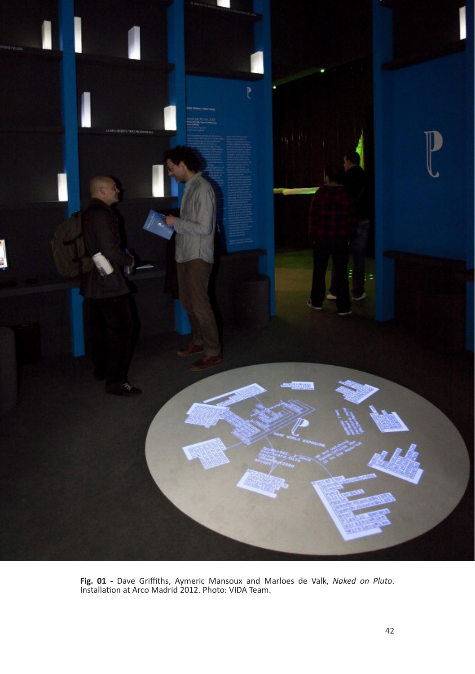

**Fig. 01 -** Dave Griffiths, Aymeric Mansoux and Marloes de Valk, *Naked on Pluto*. Installation at Arco Madrid 2012. Photo: VIDA Team.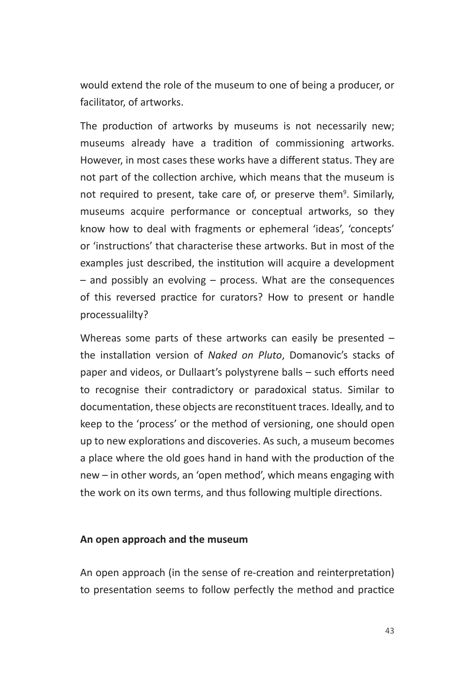would extend the role of the museum to one of being a producer, or facilitator, of artworks.

The production of artworks by museums is not necessarily new; museums already have a tradition of commissioning artworks. However, in most cases these works have a different status. They are not part of the collection archive, which means that the museum is not required to present, take care of, or preserve them<sup>9</sup>. Similarly, museums acquire performance or conceptual artworks, so they know how to deal with fragments or ephemeral 'ideas', 'concepts' or 'instructions' that characterise these artworks. But in most of the examples just described, the institution will acquire a development – and possibly an evolving – process. What are the consequences of this reversed practice for curators? How to present or handle processualilty?

Whereas some parts of these artworks can easily be presented – the installation version of *Naked on Pluto*, Domanovic's stacks of paper and videos, or Dullaart's polystyrene balls – such efforts need to recognise their contradictory or paradoxical status. Similar to documentation, these objects are reconstituent traces. Ideally, and to keep to the 'process' or the method of versioning, one should open up to new explorations and discoveries. As such, a museum becomes a place where the old goes hand in hand with the production of the new – in other words, an 'open method', which means engaging with the work on its own terms, and thus following multiple directions.

#### **An open approach and the museum**

An open approach (in the sense of re-creation and reinterpretation) to presentation seems to follow perfectly the method and practice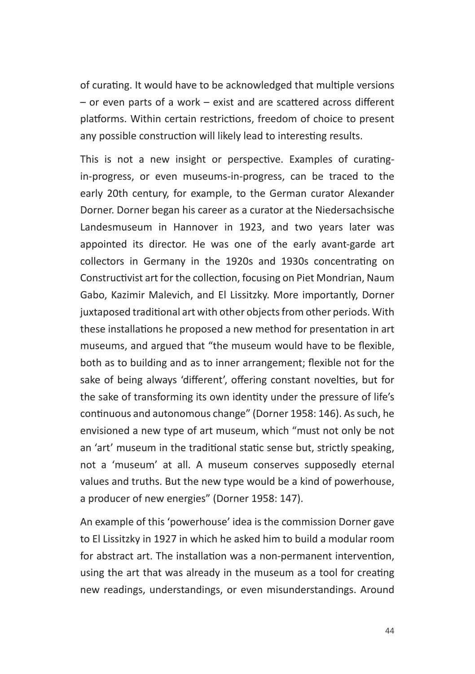of curating. It would have to be acknowledged that multiple versions – or even parts of a work – exist and are scattered across different platforms. Within certain restrictions, freedom of choice to present any possible construction will likely lead to interesting results.

This is not a new insight or perspective. Examples of curatingin-progress, or even museums-in-progress, can be traced to the early 20th century, for example, to the German curator Alexander Dorner. Dorner began his career as a curator at the Niedersachsische Landesmuseum in Hannover in 1923, and two years later was appointed its director. He was one of the early avant-garde art collectors in Germany in the 1920s and 1930s concentrating on Constructivist art for the collection, focusing on Piet Mondrian, Naum Gabo, Kazimir Malevich, and El Lissitzky. More importantly, Dorner juxtaposed traditional art with other objects from other periods. With these installations he proposed a new method for presentation in art museums, and argued that "the museum would have to be flexible, both as to building and as to inner arrangement; flexible not for the sake of being always 'different', offering constant novelties, but for the sake of transforming its own identity under the pressure of life's continuous and autonomous change" (Dorner 1958: 146). As such, he envisioned a new type of art museum, which "must not only be not an 'art' museum in the traditional static sense but, strictly speaking, not a 'museum' at all. A museum conserves supposedly eternal values and truths. But the new type would be a kind of powerhouse, a producer of new energies" (Dorner 1958: 147).

An example of this 'powerhouse' idea is the commission Dorner gave to El Lissitzky in 1927 in which he asked him to build a modular room for abstract art. The installation was a non-permanent intervention, using the art that was already in the museum as a tool for creating new readings, understandings, or even misunderstandings. Around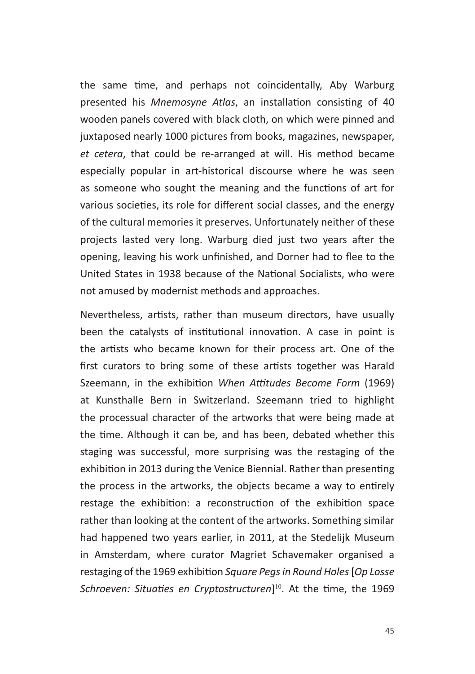the same time, and perhaps not coincidentally, Aby Warburg presented his *Mnemosyne Atlas*, an installation consisting of 40 wooden panels covered with black cloth, on which were pinned and juxtaposed nearly 1000 pictures from books, magazines, newspaper, *et cetera*, that could be re-arranged at will. His method became especially popular in art-historical discourse where he was seen as someone who sought the meaning and the functions of art for various societies, its role for different social classes, and the energy of the cultural memories it preserves. Unfortunately neither of these projects lasted very long. Warburg died just two years after the opening, leaving his work unfinished, and Dorner had to flee to the United States in 1938 because of the National Socialists, who were not amused by modernist methods and approaches.

Nevertheless, artists, rather than museum directors, have usually been the catalysts of institutional innovation. A case in point is the artists who became known for their process art. One of the first curators to bring some of these artists together was Harald Szeemann, in the exhibition *When Attitudes Become Form* (1969) at Kunsthalle Bern in Switzerland. Szeemann tried to highlight the processual character of the artworks that were being made at the time. Although it can be, and has been, debated whether this staging was successful, more surprising was the restaging of the exhibition in 2013 during the Venice Biennial. Rather than presenting the process in the artworks, the objects became a way to entirely restage the exhibition: a reconstruction of the exhibition space rather than looking at the content of the artworks. Something similar had happened two years earlier, in 2011, at the Stedelijk Museum in Amsterdam, where curator Magriet Schavemaker organised a restaging of the 1969 exhibition *Square Pegs in Round Holes* [*Op Losse Schroeven: Situaties en Cryptostructuren*] 10. At the time, the 1969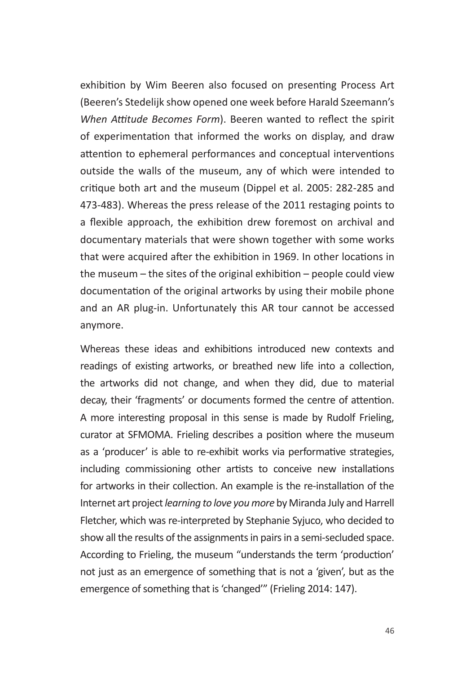exhibition by Wim Beeren also focused on presenting Process Art (Beeren's Stedelijk show opened one week before Harald Szeemann's *When Attitude Becomes Form*). Beeren wanted to reflect the spirit of experimentation that informed the works on display, and draw attention to ephemeral performances and conceptual interventions outside the walls of the museum, any of which were intended to critique both art and the museum (Dippel et al. 2005: 282-285 and 473-483). Whereas the press release of the 2011 restaging points to a flexible approach, the exhibition drew foremost on archival and documentary materials that were shown together with some works that were acquired after the exhibition in 1969. In other locations in the museum – the sites of the original exhibition – people could view documentation of the original artworks by using their mobile phone and an AR plug-in. Unfortunately this AR tour cannot be accessed anymore.

Whereas these ideas and exhibitions introduced new contexts and readings of existing artworks, or breathed new life into a collection, the artworks did not change, and when they did, due to material decay, their 'fragments' or documents formed the centre of attention. A more interesting proposal in this sense is made by Rudolf Frieling, curator at SFMOMA. Frieling describes a position where the museum as a 'producer' is able to re-exhibit works via performative strategies, including commissioning other artists to conceive new installations for artworks in their collection. An example is the re-installation of the Internet art project *learning to love you more* by Miranda July and Harrell Fletcher, which was re-interpreted by Stephanie Syjuco, who decided to show all the results of the assignments in pairs in a semi-secluded space. According to Frieling, the museum "understands the term 'production' not just as an emergence of something that is not a 'given', but as the emergence of something that is 'changed'" (Frieling 2014: 147).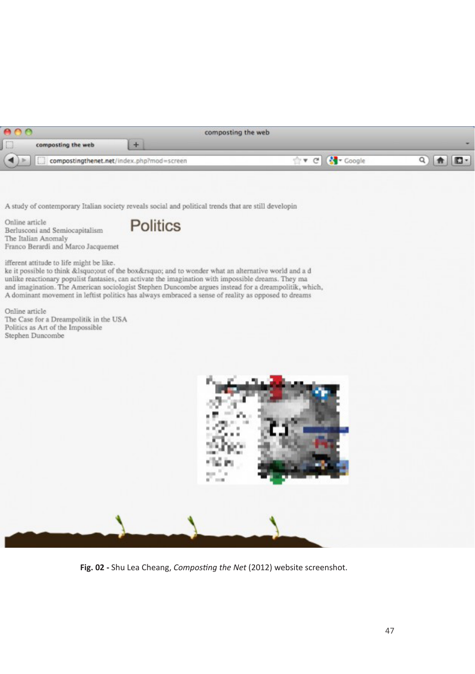| AA                                        | composting the web |                          |
|-------------------------------------------|--------------------|--------------------------|
| $\square$<br>composting the web           |                    | $\overline{\phantom{a}}$ |
| compostingthenet.net/index.php?mod=screen | Google             |                          |

A study of contemporary Italian society reveals social and political trends that are still developin

Online article Berlusconi and Semiocapitalism The Italian Anomaly Franco Berardi and Marco Jacquemet



ifferent attitude to life might be like.

ke it possible to think 'out of the box' and to wonder what an alternative world and a d unlike reactionary populist fantasies, can activate the imagination with impossible dreams. They ma and imagination. The American sociologist Stephen Duncombe argues instead for a dreampolitik, which, A dominant movement in leftist politics has always embraced a sense of reality as opposed to dreams

Online article The Case for a Dreampolitik in the USA<br>Politics as Art of the Impossible Stephen Duncombe



**Fig. 02 -** Shu Lea Cheang, *Composting the Net* (2012) website screenshot.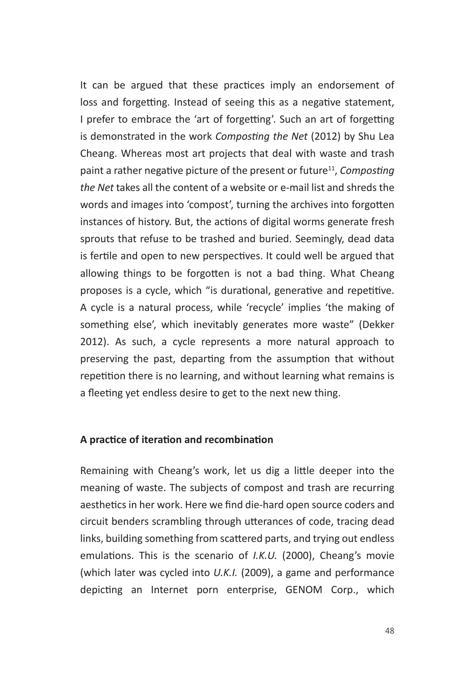It can be argued that these practices imply an endorsement of loss and forgetting. Instead of seeing this as a negative statement, I prefer to embrace the 'art of forgetting'. Such an art of forgetting is demonstrated in the work *Composting the Net* (2012) by Shu Lea Cheang. Whereas most art projects that deal with waste and trash paint a rather negative picture of the present or future<sup>11</sup>, *Composting the Net* takes all the content of a website or e-mail list and shreds the words and images into 'compost', turning the archives into forgotten instances of history. But, the actions of digital worms generate fresh sprouts that refuse to be trashed and buried. Seemingly, dead data is fertile and open to new perspectives. It could well be argued that allowing things to be forgotten is not a bad thing. What Cheang proposes is a cycle, which "is durational, generative and repetitive. A cycle is a natural process, while 'recycle' implies 'the making of something else', which inevitably generates more waste" (Dekker 2012). As such, a cycle represents a more natural approach to preserving the past, departing from the assumption that without repetition there is no learning, and without learning what remains is a fleeting yet endless desire to get to the next new thing.

#### **A practice of iteration and recombination**

Remaining with Cheang's work, let us dig a little deeper into the meaning of waste. The subjects of compost and trash are recurring aesthetics in her work. Here we find die-hard open source coders and circuit benders scrambling through utterances of code, tracing dead links, building something from scattered parts, and trying out endless emulations. This is the scenario of *I.K.U.* (2000), Cheang's movie (which later was cycled into *U.K.I.* (2009), a game and performance depicting an Internet porn enterprise, GENOM Corp., which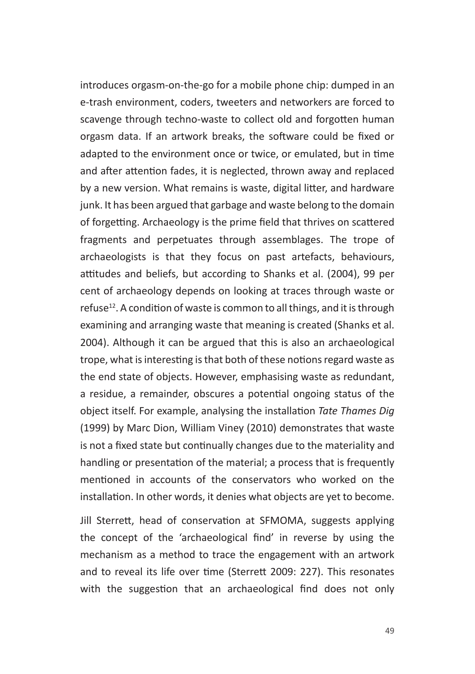introduces orgasm-on-the-go for a mobile phone chip: dumped in an e-trash environment, coders, tweeters and networkers are forced to scavenge through techno-waste to collect old and forgotten human orgasm data. If an artwork breaks, the software could be fixed or adapted to the environment once or twice, or emulated, but in time and after attention fades, it is neglected, thrown away and replaced by a new version. What remains is waste, digital litter, and hardware junk. It has been argued that garbage and waste belong to the domain of forgetting. Archaeology is the prime field that thrives on scattered fragments and perpetuates through assemblages. The trope of archaeologists is that they focus on past artefacts, behaviours, attitudes and beliefs, but according to Shanks et al. (2004), 99 per cent of archaeology depends on looking at traces through waste or refuse<sup>12</sup>. A condition of waste is common to all things, and it is through examining and arranging waste that meaning is created (Shanks et al. 2004). Although it can be argued that this is also an archaeological trope, what is interesting is that both of these notions regard waste as the end state of objects. However, emphasising waste as redundant, a residue, a remainder, obscures a potential ongoing status of the object itself. For example, analysing the installation *Tate Thames Dig* (1999) by Marc Dion, William Viney (2010) demonstrates that waste is not a fixed state but continually changes due to the materiality and handling or presentation of the material; a process that is frequently mentioned in accounts of the conservators who worked on the installation. In other words, it denies what objects are yet to become.

Jill Sterrett, head of conservation at SFMOMA, suggests applying the concept of the 'archaeological find' in reverse by using the mechanism as a method to trace the engagement with an artwork and to reveal its life over time (Sterrett 2009: 227). This resonates with the suggestion that an archaeological find does not only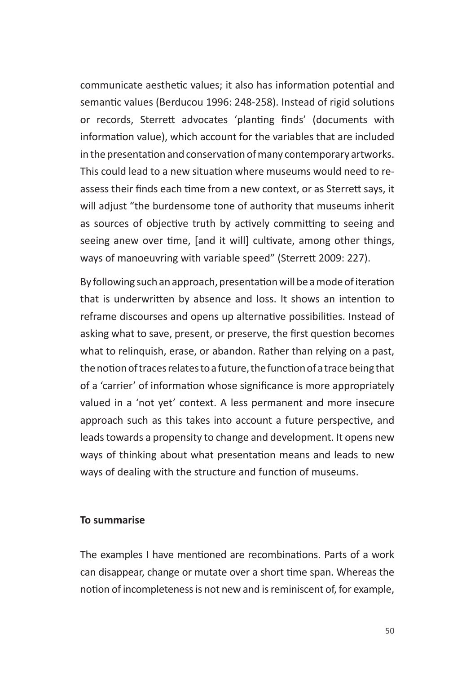communicate aesthetic values; it also has information potential and semantic values (Berducou 1996: 248-258). Instead of rigid solutions or records, Sterrett advocates 'planting finds' (documents with information value), which account for the variables that are included in the presentation and conservation of many contemporary artworks. This could lead to a new situation where museums would need to reassess their finds each time from a new context, or as Sterrett says, it will adjust "the burdensome tone of authority that museums inherit as sources of objective truth by actively committing to seeing and seeing anew over time, [and it will] cultivate, among other things, ways of manoeuvring with variable speed" (Sterrett 2009: 227).

By following such an approach, presentation will be a mode of iteration that is underwritten by absence and loss. It shows an intention to reframe discourses and opens up alternative possibilities. Instead of asking what to save, present, or preserve, the first question becomes what to relinquish, erase, or abandon. Rather than relying on a past, the notion of traces relates to a future, the function of a trace being that of a 'carrier' of information whose significance is more appropriately valued in a 'not yet' context. A less permanent and more insecure approach such as this takes into account a future perspective, and leads towards a propensity to change and development. It opens new ways of thinking about what presentation means and leads to new ways of dealing with the structure and function of museums.

#### **To summarise**

The examples I have mentioned are recombinations. Parts of a work can disappear, change or mutate over a short time span. Whereas the notion of incompleteness is not new and is reminiscent of, for example,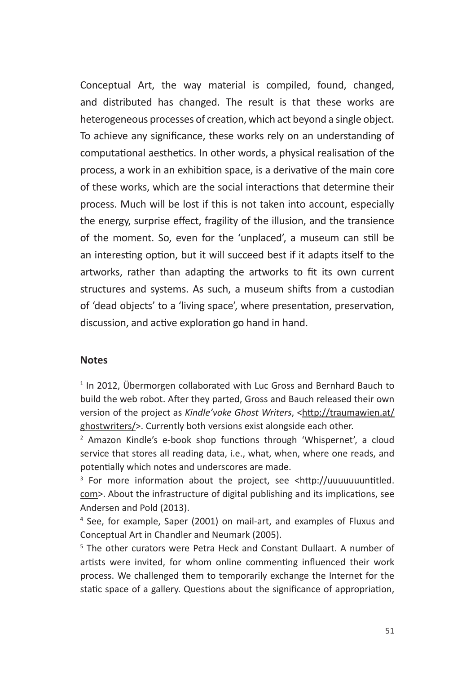Conceptual Art, the way material is compiled, found, changed, and distributed has changed. The result is that these works are heterogeneous processes of creation, which act beyond a single object. To achieve any significance, these works rely on an understanding of computational aesthetics. In other words, a physical realisation of the process, a work in an exhibition space, is a derivative of the main core of these works, which are the social interactions that determine their process. Much will be lost if this is not taken into account, especially the energy, surprise effect, fragility of the illusion, and the transience of the moment. So, even for the 'unplaced', a museum can still be an interesting option, but it will succeed best if it adapts itself to the artworks, rather than adapting the artworks to fit its own current structures and systems. As such, a museum shifts from a custodian of 'dead objects' to a 'living space', where presentation, preservation, discussion, and active exploration go hand in hand.

#### **Notes**

<sup>1</sup> In 2012, Übermorgen collaborated with Luc Gross and Bernhard Bauch to build the web robot. After they parted, Gross and Bauch released their own version of the project as *Kindle'voke Ghost Writers*, [<http://traumawien.at/](http://traumawien.at/ghostwriters/) [ghostwriters/](http://traumawien.at/ghostwriters/)>. Currently both versions exist alongside each other.

2 Amazon Kindle's e-book shop functions through 'Whispernet', a cloud service that stores all reading data, i.e., what, when, where one reads, and potentially which notes and underscores are made.

<sup>3</sup> For more information about the project, see <[http://uuuuuuuntitled.](http://http://uuuuuuuntitled.com) [com>](http://http://uuuuuuuntitled.com). About the infrastructure of digital publishing and its implications, see Andersen and Pold (2013).

4 See, for example, Saper (2001) on mail-art, and examples of Fluxus and Conceptual Art in Chandler and Neumark (2005).

5 The other curators were Petra Heck and Constant Dullaart. A number of artists were invited, for whom online commenting influenced their work process. We challenged them to temporarily exchange the Internet for the static space of a gallery. Questions about the significance of appropriation,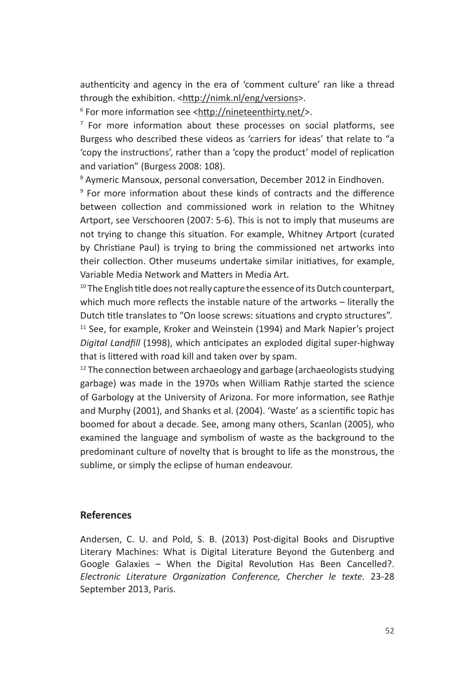authenticity and agency in the era of 'comment culture' ran like a thread through the exhibition. [<http://nimk.nl/eng/versions](http://nimk.nl/eng/versions)>.

<sup>6</sup> For more information see [<http://nineteenthirty.net/](http://nineteenthirty.net/)>.

7 For more information about these processes on social platforms, see Burgess who described these videos as 'carriers for ideas' that relate to "a 'copy the instructions', rather than a 'copy the product' model of replication and variation" (Burgess 2008: 108).

8 Aymeric Mansoux, personal conversation, December 2012 in Eindhoven.

9 For more information about these kinds of contracts and the difference between collection and commissioned work in relation to the Whitney Artport, see Verschooren (2007: 5-6). This is not to imply that museums are not trying to change this situation. For example, Whitney Artport (curated by Christiane Paul) is trying to bring the commissioned net artworks into their collection. Other museums undertake similar initiatives, for example, Variable Media Network and Matters in Media Art.

<sup>10</sup> The English title does not really capture the essence of its Dutch counterpart, which much more reflects the instable nature of the artworks – literally the Dutch title translates to "On loose screws: situations and crypto structures".

<sup>11</sup> See, for example, Kroker and Weinstein (1994) and Mark Napier's project *Digital Landfill* (1998), which anticipates an exploded digital super-highway that is littered with road kill and taken over by spam.

 $12$  The connection between archaeology and garbage (archaeologists studying garbage) was made in the 1970s when William Rathje started the science of Garbology at the University of Arizona. For more information, see Rathje and Murphy (2001), and Shanks et al. (2004). 'Waste' as a scientific topic has boomed for about a decade. See, among many others, Scanlan (2005), who examined the language and symbolism of waste as the background to the predominant culture of novelty that is brought to life as the monstrous, the sublime, or simply the eclipse of human endeavour.

#### **References**

Andersen, C. U. and Pold, S. B. (2013) Post-digital Books and Disruptive Literary Machines: What is Digital Literature Beyond the Gutenberg and Google Galaxies – When the Digital Revolution Has Been Cancelled?. *Electronic Literature Organization Conference, Chercher le texte.* 23-28 September 2013, Paris.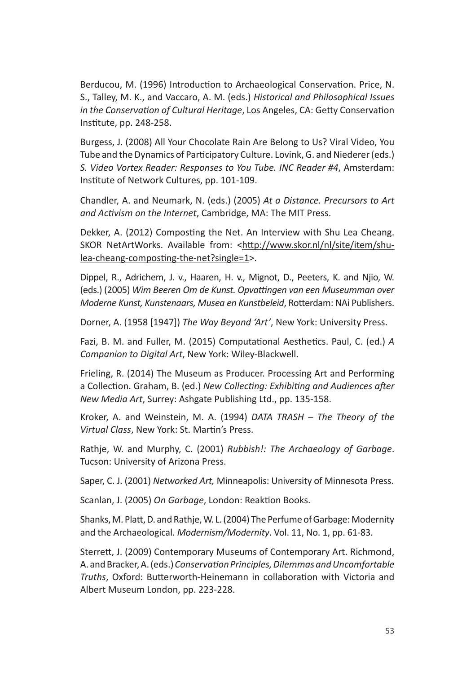Berducou, M. (1996) Introduction to Archaeological Conservation. Price, N. S., Talley, M. K., and Vaccaro, A. M. (eds.) *Historical and Philosophical Issues in the Conservation of Cultural Heritage*, Los Angeles, CA: Getty Conservation Institute, pp. 248-258.

Burgess, J. (2008) All Your Chocolate Rain Are Belong to Us? Viral Video, You Tube and the Dynamics of Participatory Culture. Lovink, G. and Niederer (eds.) *S. Video Vortex Reader: Responses to You Tube. INC Reader #4*, Amsterdam: Institute of Network Cultures, pp. 101-109.

Chandler, A. and Neumark, N. (eds.) (2005) *At a Distance. Precursors to Art and Activism on the Internet*, Cambridge, MA: The MIT Press.

Dekker, A. (2012) Composting the Net. An Interview with Shu Lea Cheang. SKOR NetArtWorks. Available from: [<http://www.skor.nl/nl/site/item/shu](http://www.skor.nl/nl/site/item/shu-lea-cheang-composting-the-net?single=1)[lea-cheang-composting-the-net?single=1](http://www.skor.nl/nl/site/item/shu-lea-cheang-composting-the-net?single=1)>.

Dippel, R., Adrichem, J. v., Haaren, H. v., Mignot, D., Peeters, K. and Njio, W. (eds.) (2005) *Wim Beeren Om de Kunst. Opvattingen van een Museumman over Moderne Kunst, Kunstenaars, Musea en Kunstbeleid*, Rotterdam: NAi Publishers.

Dorner, A. (1958 [1947]) *The Way Beyond 'Art'*, New York: University Press.

Fazi, B. M. and Fuller, M. (2015) Computational Aesthetics. Paul, C. (ed.) *A Companion to Digital Art*, New York: Wiley-Blackwell.

Frieling, R. (2014) The Museum as Producer. Processing Art and Performing a Collection. Graham, B. (ed.) *New Collecting: Exhibiting and Audiences after New Media Art*, Surrey: Ashgate Publishing Ltd., pp. 135-158.

Kroker, A. and Weinstein, M. A. (1994) *DATA TRASH – The Theory of the Virtual Class*, New York: St. Martin's Press.

Rathje, W. and Murphy, C. (2001) *Rubbish!: The Archaeology of Garbage*. Tucson: University of Arizona Press.

Saper, C. J. (2001) *Networked Art,* Minneapolis: University of Minnesota Press.

Scanlan, J. (2005) *On Garbage*, London: Reaktion Books.

Shanks, M. Platt, D. and Rathje, W. L. (2004) The Perfume of Garbage: Modernity and the Archaeological. *Modernism/Modernity*. Vol. 11, No. 1, pp. 61-83.

Sterrett, J. (2009) Contemporary Museums of Contemporary Art. Richmond, A. and Bracker, A. (eds.) *Conservation Principles, Dilemmas and Uncomfortable Truths*, Oxford: Butterworth-Heinemann in collaboration with Victoria and Albert Museum London, pp. 223-228.